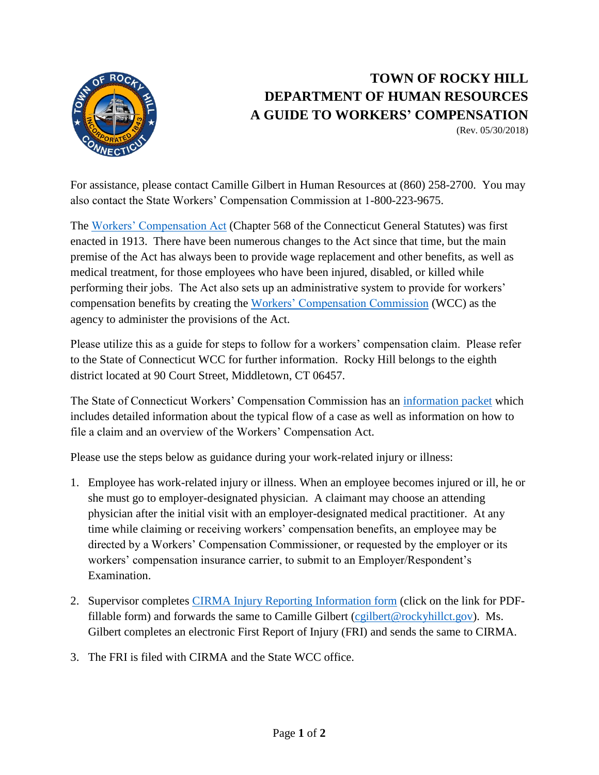

## **TOWN OF ROCKY HILL DEPARTMENT OF HUMAN RESOURCES A GUIDE TO WORKERS' COMPENSATION**

(Rev. 05/30/2018)

For assistance, please contact Camille Gilbert in Human Resources at (860) 258-2700. You may also contact the State Workers' Compensation Commission at 1-800-223-9675.

The [Workers' Compensation Act](http://wcc.state.ct.us/law/menus/wc-act-2015.htm) (Chapter 568 of the Connecticut General Statutes) was first enacted in 1913. There have been numerous changes to the Act since that time, but the main premise of the Act has always been to provide wage replacement and other benefits, as well as medical treatment, for those employees who have been injured, disabled, or killed while performing their jobs. The Act also sets up an administrative system to provide for workers' compensation benefits by creating the [Workers' Compensation Commission](http://wcc.state.ct.us/) (WCC) as the agency to administer the provisions of the Act.

Please utilize this as a guide for steps to follow for a workers' compensation claim. Please refer to the State of Connecticut WCC for further information. Rocky Hill belongs to the eighth district located at 90 Court Street, Middletown, CT 06457.

The State of Connecticut Workers' Compensation Commission has an [information packet](http://wcc.state.ct.us/download/acrobat/Info-Packet.pdf) which includes detailed information about the typical flow of a case as well as information on how to file a claim and an overview of the Workers' Compensation Act.

Please use the steps below as guidance during your work-related injury or illness:

- 1. Employee has work-related injury or illness. When an employee becomes injured or ill, he or she must go to employer-designated physician. A claimant may choose an attending physician after the initial visit with an employer-designated medical practitioner. At any time while claiming or receiving workers' compensation benefits, an employee may be directed by a Workers' Compensation Commissioner, or requested by the employer or its workers' compensation insurance carrier, to submit to an Employer/Respondent's Examination.
- 2. Supervisor completes [CIRMA Injury Reporting Information form](http://cirma.ccm-ct.org/Resources.ashx?id=8896fd2c-67b9-4b0e-8495-8b3edb745106) (click on the link for PDF-fillable form) and forwards the same to Camille Gilbert [\(cgilbert@rockyhillct.gov\)](mailto:cgilbert@rockyhillct.gov). Ms. Gilbert completes an electronic First Report of Injury (FRI) and sends the same to CIRMA.
- 3. The FRI is filed with CIRMA and the State WCC office.